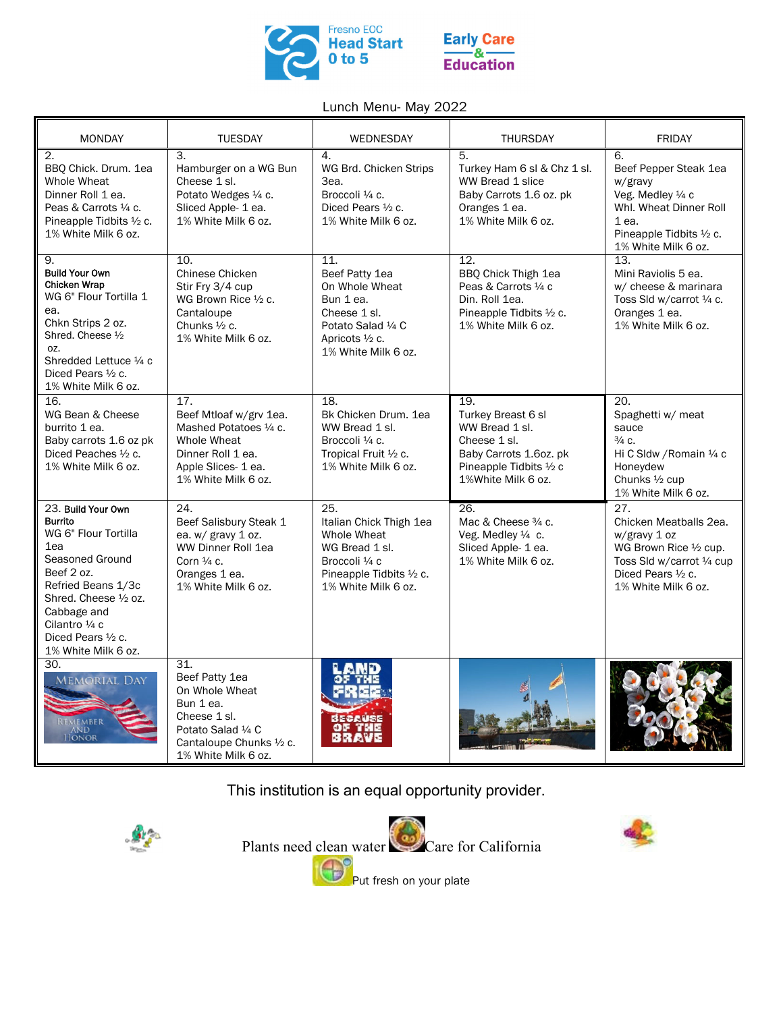

## **Early Care** & **Education**

## Lunch Menu- May 2022

| <b>MONDAY</b>                                                                                                                                                                                                                               | <b>TUESDAY</b>                                                                                                                                | WEDNESDAY                                                                                                                            | <b>THURSDAY</b>                                                                                                                        | <b>FRIDAY</b>                                                                                                                                       |
|---------------------------------------------------------------------------------------------------------------------------------------------------------------------------------------------------------------------------------------------|-----------------------------------------------------------------------------------------------------------------------------------------------|--------------------------------------------------------------------------------------------------------------------------------------|----------------------------------------------------------------------------------------------------------------------------------------|-----------------------------------------------------------------------------------------------------------------------------------------------------|
| 2.<br>BBQ Chick. Drum. 1ea<br>Whole Wheat<br>Dinner Roll 1 ea.<br>Peas & Carrots 1/4 c.<br>Pineapple Tidbits 1/2 c.<br>1% White Milk 6 oz.                                                                                                  | 3.<br>Hamburger on a WG Bun<br>Cheese 1 sl.<br>Potato Wedges 1/4 c.<br>Sliced Apple- 1 ea.<br>1% White Milk 6 oz.                             | 4.<br>WG Brd. Chicken Strips<br>3ea.<br>Broccoli 1/4 c.<br>Diced Pears $\frac{1}{2}$ c.<br>1% White Milk 6 oz.                       | 5.<br>Turkey Ham 6 sl & Chz 1 sl.<br>WW Bread 1 slice<br>Baby Carrots 1.6 oz. pk<br>Oranges 1 ea.<br>1% White Milk 6 oz.               | 6.<br>Beef Pepper Steak 1ea<br>w/gravy<br>Veg. Medley 1/4 c<br>Whl. Wheat Dinner Roll<br>$1$ ea.<br>Pineapple Tidbits 1/2 c.<br>1% White Milk 6 oz. |
| 9.<br><b>Build Your Own</b><br><b>Chicken Wrap</b><br>WG 6" Flour Tortilla 1<br>ea.<br>Chkn Strips 2 oz.<br>Shred. Cheese 1/2<br>OZ.<br>Shredded Lettuce 1/4 c<br>Diced Pears $\frac{1}{2}$ c.<br>1% White Milk 6 oz.                       | 10.<br>Chinese Chicken<br>Stir Fry 3/4 cup<br>WG Brown Rice 1/2 c.<br>Cantaloupe<br>Chunks 1/2 c.<br>1% White Milk 6 oz.                      | 11.<br>Beef Patty 1ea<br>On Whole Wheat<br>Bun 1 ea.<br>Cheese 1 sl.<br>Potato Salad 1/4 C<br>Apricots 1/2 c.<br>1% White Milk 6 oz. | 12.<br>BBQ Chick Thigh 1ea<br>Peas & Carrots 1/4 c<br>Din. Roll 1ea.<br>Pineapple Tidbits 1/2 c.<br>1% White Milk 6 oz.                | 13.<br>Mini Raviolis 5 ea.<br>w/ cheese & marinara<br>Toss Sld w/carrot 1/4 c.<br>Oranges 1 ea.<br>1% White Milk 6 oz.                              |
| 16.<br>WG Bean & Cheese<br>burrito 1 ea.<br>Baby carrots 1.6 oz pk<br>Diced Peaches 1/2 c.<br>1% White Milk 6 oz.                                                                                                                           | 17.<br>Beef Mtloaf w/grv 1ea.<br>Mashed Potatoes 1/4 c.<br>Whole Wheat<br>Dinner Roll 1 ea.<br>Apple Slices- 1 ea.<br>1% White Milk 6 oz.     | 18.<br>Bk Chicken Drum, 1ea<br>WW Bread 1 sl.<br>Broccoli 1/4 c.<br>Tropical Fruit 1/2 c.<br>1% White Milk 6 oz.                     | 19.<br>Turkey Breast 6 sl<br>WW Bread 1 sl.<br>Cheese 1 sl.<br>Baby Carrots 1.6oz. pk<br>Pineapple Tidbits 1/2 c<br>1%White Milk 6 oz. | 20.<br>Spaghetti w/ meat<br>sauce<br>$\frac{3}{4}$ C.<br>Hi C Sldw / Romain 1/4 c<br>Honeydew<br>Chunks 1/2 cup<br>1% White Milk 6 oz.              |
| 23. Build Your Own<br><b>Burrito</b><br>WG 6" Flour Tortilla<br>1ea<br>Seasoned Ground<br>Beef 2 oz.<br>Refried Beans 1/3c<br>Shred. Cheese 1/2 oz.<br>Cabbage and<br>Cilantro 1/4 c<br>Diced Pears $\frac{1}{2}$ c.<br>1% White Milk 6 oz. | 24.<br>Beef Salisbury Steak 1<br>ea. w/ gravy 1 oz.<br>WW Dinner Roll 1ea<br>Corn $\frac{1}{4}$ c.<br>Oranges 1 ea.<br>1% White Milk 6 oz.    | 25.<br>Italian Chick Thigh 1ea<br>Whole Wheat<br>WG Bread 1 sl.<br>Broccoli 1/4 c<br>Pineapple Tidbits 1/2 c.<br>1% White Milk 6 oz. | $\overline{26}$<br>Mac & Cheese 3/4 c.<br>Veg. Medley 1/4 c.<br>Sliced Apple- 1 ea.<br>1% White Milk 6 oz.                             | 27.<br>Chicken Meatballs 2ea.<br>w/gravy 1 oz<br>WG Brown Rice 1/2 cup.<br>Toss Sld w/carrot 1/4 cup<br>Diced Pears 1/2 c.<br>1% White Milk 6 oz.   |
| 30.<br><b>MEMORIAL DAY</b><br>EMBER<br>ONOR                                                                                                                                                                                                 | 31.<br>Beef Patty 1ea<br>On Whole Wheat<br>Bun 1 ea.<br>Cheese 1 sl.<br>Potato Salad 1/4 C<br>Cantaloupe Chunks 1/2 c.<br>1% White Milk 6 oz. |                                                                                                                                      |                                                                                                                                        |                                                                                                                                                     |

This institution is an equal opportunity provider.



Plants need clean water Care for California Put fresh on your plate